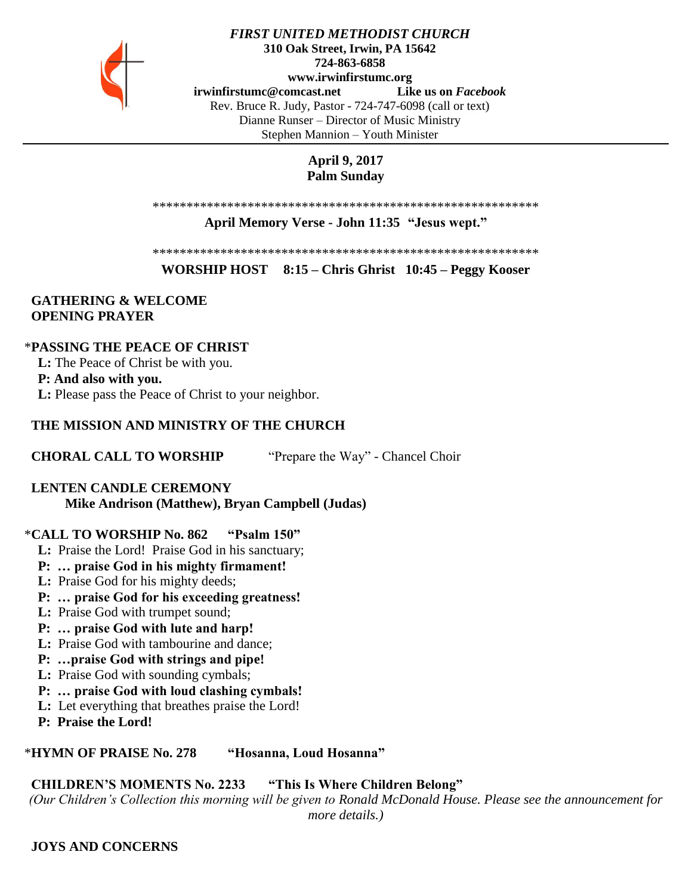

#### *FIRST UNITED METHODIST CHURCH* **310 Oak Street, Irwin, PA 15642 724-863-6858 www.irwinfirstumc.org [irwinfirstumc@comcast.net](mailto:irwinfirstumc@comcast.net) Like us on** *Facebook* Rev. Bruce R. Judy, Pastor - 724-747-6098 (call or text) Dianne Runser – Director of Music Ministry Stephen Mannion – Youth Minister

# **April 9, 2017 Palm Sunday**

\*\*\*\*\*\*\*\*\*\*\*\*\*\*\*\*\*\*\*\*\*\*\*\*\*\*\*\*\*\*\*\*\*\*\*\*\*\*\*\*\*\*\*\*\*\*\*\*\*\*\*\*\*\*\*\*\*

### **April Memory Verse - John 11:35 "Jesus wept."**

\*\*\*\*\*\*\*\*\*\*\*\*\*\*\*\*\*\*\*\*\*\*\*\*\*\*\*\*\*\*\*\*\*\*\*\*\*\*\*\*\*\*\*\*\*\*\*\*\*\*\*\*\*\*\*\*\*

**WORSHIP HOST 8:15 – Chris Ghrist 10:45 – Peggy Kooser**

## **GATHERING & WELCOME OPENING PRAYER**

## \***PASSING THE PEACE OF CHRIST**

 **L:** The Peace of Christ be with you.

## **P: And also with you.**

 **L:** Please pass the Peace of Christ to your neighbor.

# **THE MISSION AND MINISTRY OF THE CHURCH**

**CHORAL CALL TO WORSHIP** "Prepare the Way" - Chancel Choir

# **LENTEN CANDLE CEREMONY**

**Mike Andrison (Matthew), Bryan Campbell (Judas)**

# \***CALL TO WORSHIP No. 862 "Psalm 150"**

- **L:** Praise the Lord! Praise God in his sanctuary;
- **P: … praise God in his mighty firmament!**
- **L:** Praise God for his mighty deeds;
- **P: … praise God for his exceeding greatness!**
- **L:** Praise God with trumpet sound;
- **P: … praise God with lute and harp!**
- **L:** Praise God with tambourine and dance;
- **P: …praise God with strings and pipe!**
- **L:** Praise God with sounding cymbals;
- **P: … praise God with loud clashing cymbals!**
- **L:** Let everything that breathes praise the Lord!
- **P: Praise the Lord!**

## \***HYMN OF PRAISE No. 278 "Hosanna, Loud Hosanna"**

# **CHILDREN'S MOMENTS No. 2233 "This Is Where Children Belong"**

*(Our Children's Collection this morning will be given to Ronald McDonald House. Please see the announcement for more details.)*

 **JOYS AND CONCERNS**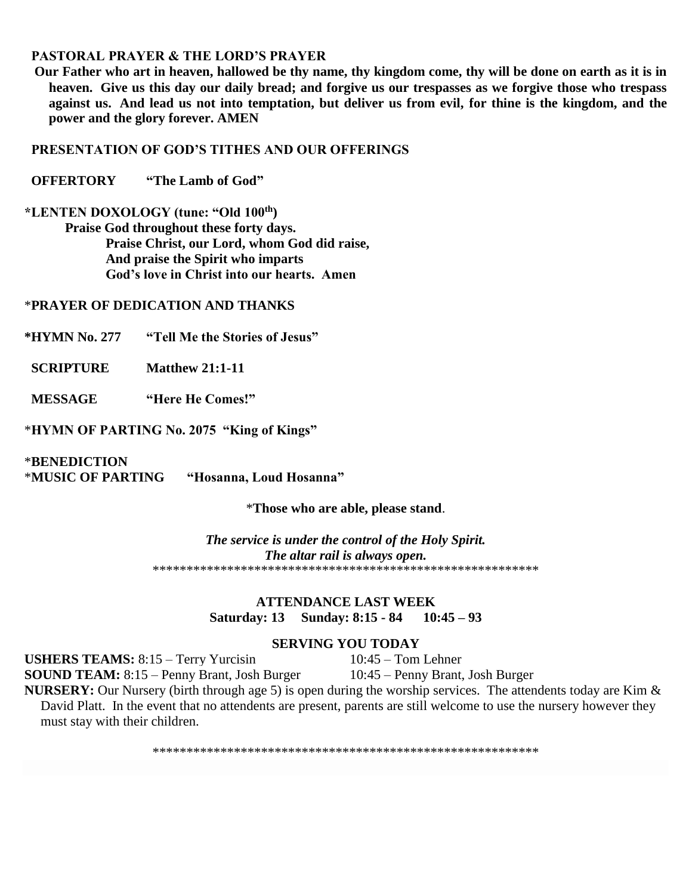## **PASTORAL PRAYER & THE LORD'S PRAYER**

 **Our Father who art in heaven, hallowed be thy name, thy kingdom come, thy will be done on earth as it is in heaven. Give us this day our daily bread; and forgive us our trespasses as we forgive those who trespass against us. And lead us not into temptation, but deliver us from evil, for thine is the kingdom, and the power and the glory forever. AMEN**

## **PRESENTATION OF GOD'S TITHES AND OUR OFFERINGS**

 **OFFERTORY "The Lamb of God"**

**\*LENTEN DOXOLOGY (tune: "Old 100th) Praise God throughout these forty days. Praise Christ, our Lord, whom God did raise, And praise the Spirit who imparts God's love in Christ into our hearts. Amen**

### \***PRAYER OF DEDICATION AND THANKS**

**\*HYMN No. 277 "Tell Me the Stories of Jesus"**

**SCRIPTURE** Matthew 21:1-11

 **MESSAGE "Here He Comes!"**

\***HYMN OF PARTING No. 2075 "King of Kings"** 

\***BENEDICTION**  \***MUSIC OF PARTING "Hosanna, Loud Hosanna"**

\***Those who are able, please stand**.

*The service is under the control of the Holy Spirit. The altar rail is always open.* \*\*\*\*\*\*\*\*\*\*\*\*\*\*\*\*\*\*\*\*\*\*\*\*\*\*\*\*\*\*\*\*\*\*\*\*\*\*\*\*\*\*\*\*\*\*\*\*\*\*\*\*\*\*\*\*\*

## **ATTENDANCE LAST WEEK Saturday: 13 Sunday: 8:15 - 84 10:45 – 93**

## **SERVING YOU TODAY**

USHERS TEAMS: 8:15 – Terry Yurcisin 10:45 – Tom Lehner

**SOUND TEAM:** 8:15 – Penny Brant, Josh Burger 10:45 – Penny Brant, Josh Burger

**NURSERY:** Our Nursery (birth through age 5) is open during the worship services. The attendents today are Kim & David Platt. In the event that no attendents are present, parents are still welcome to use the nursery however they must stay with their children.

\*\*\*\*\*\*\*\*\*\*\*\*\*\*\*\*\*\*\*\*\*\*\*\*\*\*\*\*\*\*\*\*\*\*\*\*\*\*\*\*\*\*\*\*\*\*\*\*\*\*\*\*\*\*\*\*\*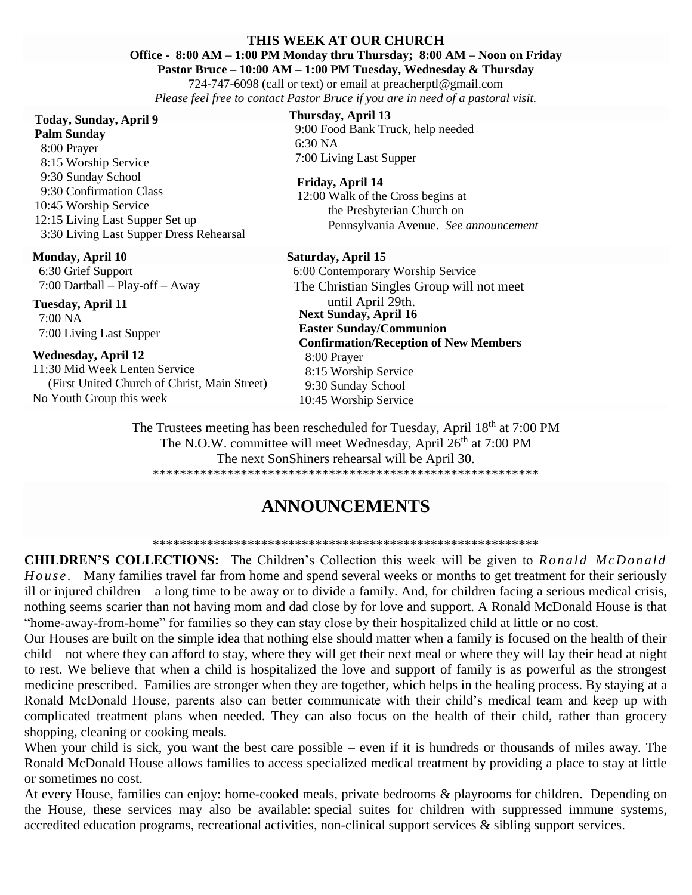#### **THIS WEEK AT OUR CHURCH**

## **Office - 8:00 AM – 1:00 PM Monday thru Thursday; 8:00 AM – Noon on Friday**

**Pastor Bruce – 10:00 AM – 1:00 PM Tuesday, Wednesday & Thursday**

724-747-6098 (call or text) or email at [preacherptl@gmail.com](mailto:preacherptl@gmail.com) *Please feel free to contact Pastor Bruce if you are in need of a pastoral visit.*

#### **Today, Sunday, April 9**

**Palm Sunday** 8:00 Prayer 8:15 Worship Service 9:30 Sunday School 9:30 Confirmation Class 10:45 Worship Service 12:15 Living Last Supper Set up 3:30 Living Last Supper Dress Rehearsal

#### **Monday, April 10**

 6:30 Grief Support 7:00 Dartball – Play-off – Away

**Tuesday, April 11** 7:00 NA 7:00 Living Last Supper

#### **Wednesday, April 12**

11:30 Mid Week Lenten Service (First United Church of Christ, Main Street) No Youth Group this week

#### **Thursday, April 13**

 9:00 Food Bank Truck, help needed 6:30 NA 7:00 Living Last Supper

#### **Friday, April 14**

12:00 Walk of the Cross begins at the Presbyterian Church on Pennsylvania Avenue. *See announcement*

#### **Saturday, April 15**

**Next Sunday, April 16 Easter Sunday/Communion Confirmation/Reception of New Members** 8:00 Prayer 8:15 Worship Service 9:30 Sunday School 10:45 Worship Service 6:00 Contemporary Worship Service The Christian Singles Group will not meet until April 29th.

The Trustees meeting has been rescheduled for Tuesday, April 18<sup>th</sup> at 7:00 PM The N.O.W. committee will meet Wednesday, April 26<sup>th</sup> at 7:00 PM The next SonShiners rehearsal will be April 30. \*\*\*\*\*\*\*\*\*\*\*\*\*\*\*\*\*\*\*\*\*\*\*\*\*\*\*\*\*\*\*\*\*\*\*\*\*\*\*\*\*\*\*\*\*\*\*\*\*\*\*\*\*\*\*\*\*

# **ANNOUNCEMENTS**

\*\*\*\*\*\*\*\*\*\*\*\*\*\*\*\*\*\*\*\*\*\*\*\*\*\*\*\*\*\*\*\*\*\*\*\*\*\*\*\*\*\*\*\*\*\*\*\*\*\*\*\*\*\*\*\*\*

**CHILDREN'S COLLECTIONS:** The Children's Collection this week will be given to *Ronald McDonald H o us e .* Many families travel far from home and spend several weeks or months to get treatment for their seriously ill or injured children – a long time to be away or to divide a family. And, for children facing a serious medical crisis, nothing seems scarier than not having mom and dad close by for love and support. A Ronald McDonald House is that "home-away-from-home" for families so they can stay close by their hospitalized child at little or no cost.

Our Houses are built on the simple idea that nothing else should matter when a family is focused on the health of their child – not where they can afford to stay, where they will get their next meal or where they will lay their head at night to rest. We believe that when a child is hospitalized the love and support of family is as powerful as the strongest medicine prescribed. Families are stronger when they are together, which helps in the healing process. By staying at a Ronald McDonald House, parents also can better communicate with their child's medical team and keep up with complicated treatment plans when needed. They can also focus on the health of their child, rather than grocery shopping, cleaning or cooking meals.

When your child is sick, you want the best care possible – even if it is hundreds or thousands of miles away. The Ronald McDonald House allows families to access specialized medical treatment by providing a place to stay at little or sometimes no cost.

At every House, families can enjoy: home-cooked meals, private bedrooms & playrooms for children. Depending on the House, these services may also be available: special suites for children with suppressed immune systems, accredited education programs, recreational activities, non-clinical support services & sibling support services.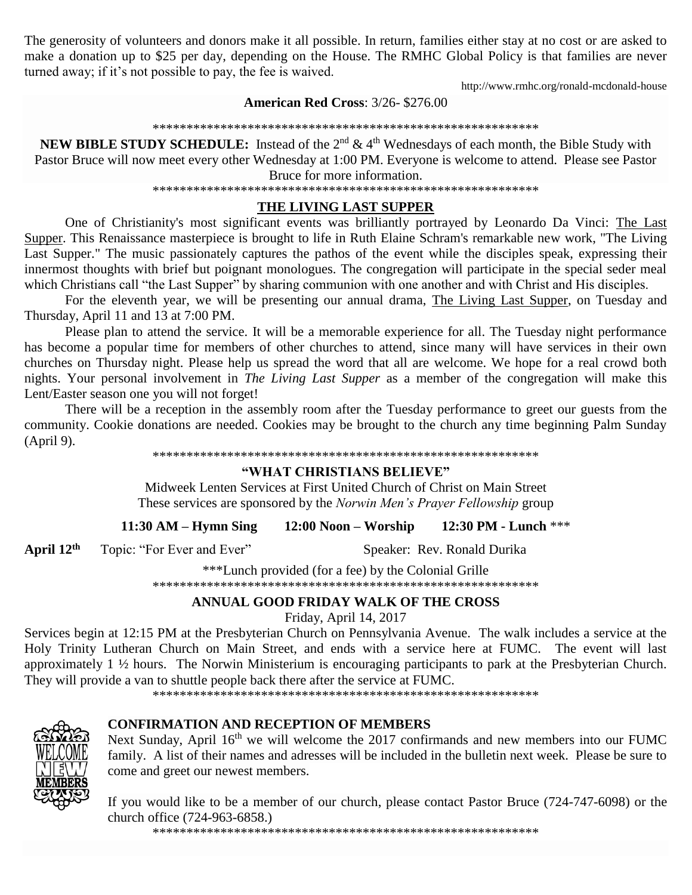The generosity of volunteers and donors make it all possible. In return, families either stay at no cost or are asked to make a donation up to \$25 per day, depending on the House. The RMHC Global Policy is that families are never turned away; if it's not possible to pay, the fee is waived.

http://www.rmhc.org/ronald-mcdonald-house

## **American Red Cross: 3/26-\$276.00**

#### 

**NEW BIBLE STUDY SCHEDULE:** Instead of the  $2^{nd} \& 4^{th}$  Wednesdays of each month, the Bible Study with Pastor Bruce will now meet every other Wednesday at 1:00 PM. Everyone is welcome to attend. Please see Pastor

Bruce for more information. 

# THE LIVING LAST SUPPER

One of Christianity's most significant events was brilliantly portrayed by Leonardo Da Vinci: The Last Supper. This Renaissance masterpiece is brought to life in Ruth Elaine Schram's remarkable new work, "The Living Last Supper." The music passionately captures the pathos of the event while the disciples speak, expressing their innermost thoughts with brief but poignant monologues. The congregation will participate in the special seder meal which Christians call "the Last Supper" by sharing communion with one another and with Christ and His disciples.

For the eleventh year, we will be presenting our annual drama, The Living Last Supper, on Tuesday and Thursday, April 11 and 13 at 7:00 PM.

Please plan to attend the service. It will be a memorable experience for all. The Tuesday night performance has become a popular time for members of other churches to attend, since many will have services in their own churches on Thursday night. Please help us spread the word that all are welcome. We hope for a real crowd both nights. Your personal involvement in The Living Last Supper as a member of the congregation will make this Lent/Easter season one you will not forget!

There will be a reception in the assembly room after the Tuesday performance to greet our guests from the community. Cookie donations are needed. Cookies may be brought to the church any time beginning Palm Sunday (April 9).

#### 

## "WHAT CHRISTIANS BELIEVE"

Midweek Lenten Services at First United Church of Christ on Main Street These services are sponsored by the Norwin Men's Prayer Fellowship group

 $11:30$  AM – Hymn Sing  $12:00$  Noon – Worship 12:30 PM - Lunch \*\*\*

April  $12<sup>th</sup>$ Topic: "For Ever and Ever" Speaker: Rev. Ronald Durika

\*\*\*Lunch provided (for a fee) by the Colonial Grille 

## ANNUAL GOOD FRIDAY WALK OF THE CROSS

Friday, April 14, 2017

Services begin at 12:15 PM at the Presbyterian Church on Pennsylvania Avenue. The walk includes a service at the Holy Trinity Lutheran Church on Main Street, and ends with a service here at FUMC. The event will last approximately  $1 \frac{1}{2}$  hours. The Norwin Ministerium is encouraging participants to park at the Presbyterian Church. They will provide a van to shuttle people back there after the service at FUMC.



## **CONFIRMATION AND RECEPTION OF MEMBERS**

Next Sunday, April 16<sup>th</sup> we will welcome the 2017 confirmands and new members into our FUMC family. A list of their names and adresses will be included in the bulletin next week. Please be sure to come and greet our newest members.

If you would like to be a member of our church, please contact Pastor Bruce (724-747-6098) or the church office (724-963-6858.)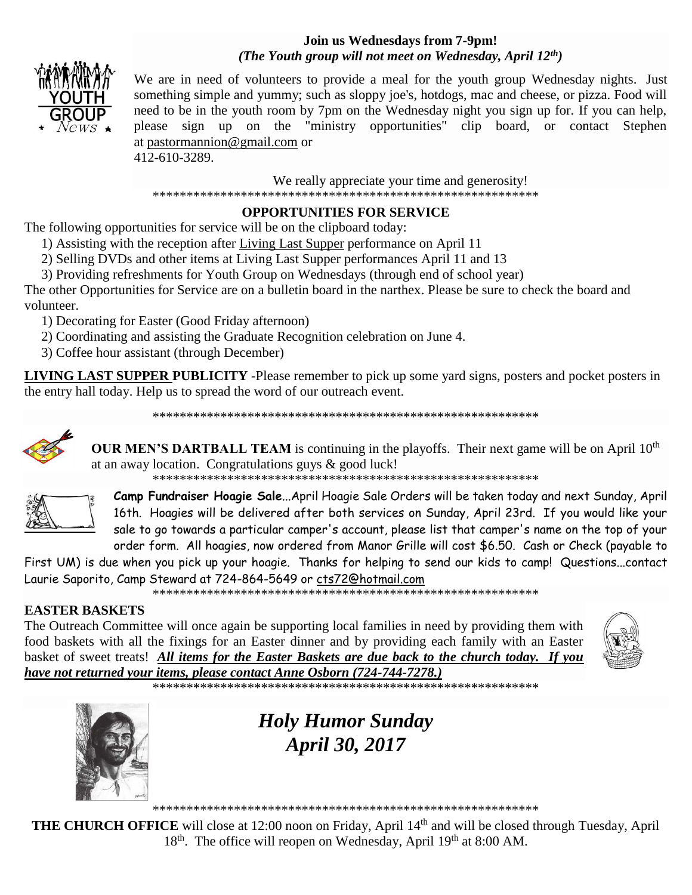# **Join us Wednesdays from 7-9pm!** *(The Youth group will not meet on Wednesday, April 12th)*



We are in need of volunteers to provide a meal for the youth group Wednesday nights. Just something simple and yummy; such as sloppy joe's, hotdogs, mac and cheese, or pizza. Food will need to be in the youth room by 7pm on the Wednesday night you sign up for. If you can help, please sign up on the "ministry opportunities" clip board, or contact Stephen at [pastormannion@gmail.com](http://pastormannion@gmail.com/) or 412-610-3289.

We really appreciate your time and generosity!

\*\*\*\*\*\*\*\*\*\*\*\*\*\*\*\*\*\*\*\*\*\*\*\*\*\*\*\*\*\*\*\*\*\*\*\*\*\*\*\*\*\*\*\*\*\*\*\*\*\*\*\*\*\*\*\*\*

# **OPPORTUNITIES FOR SERVICE**

The following opportunities for service will be on the clipboard today:

- 1) Assisting with the reception after Living Last Supper performance on April 11
- 2) Selling DVDs and other items at Living Last Supper performances April 11 and 13
- 3) Providing refreshments for Youth Group on Wednesdays (through end of school year)

The other Opportunities for Service are on a bulletin board in the narthex. Please be sure to check the board and volunteer.

1) Decorating for Easter (Good Friday afternoon)

- 2) Coordinating and assisting the Graduate Recognition celebration on June 4.
- 3) Coffee hour assistant (through December)

**LIVING LAST SUPPER PUBLICITY** -Please remember to pick up some yard signs, posters and pocket posters in the entry hall today. Help us to spread the word of our outreach event.

\*\*\*\*\*\*\*\*\*\*\*\*\*\*\*\*\*\*\*\*\*\*\*\*\*\*\*\*\*\*\*\*\*\*\*\*\*\*\*\*\*\*\*\*\*\*\*\*\*\*\*\*\*\*\*\*\*



**OUR MEN'S DARTBALL TEAM** is continuing in the playoffs. Their next game will be on April  $10<sup>th</sup>$ at an away location. Congratulations guys & good luck!

\*\*\*\*\*\*\*\*\*\*\*\*\*\*\*\*\*\*\*\*\*\*\*\*\*\*\*\*\*\*\*\*\*\*\*\*\*\*\*\*\*\*\*\*\*\*\*\*\*\*\*\*\*\*\*\*\*



**Camp Fundraiser Hoagie Sale**...April Hoagie Sale Orders will be taken today and next Sunday, April 16th. Hoagies will be delivered after both services on Sunday, April 23rd. If you would like your sale to go towards a particular camper's account, please list that camper's name on the top of your order form. All hoagies, now ordered from Manor Grille will cost \$6.50. Cash or Check (payable to

First UM) is due when you pick up your hoagie. Thanks for helping to send our kids to camp! Questions...contact Laurie Saporito, Camp Steward at 724-864-5649 or [cts72@hotmail.com](javascript:window.top.ZmObjectManager.__doClickObject(document.getElementById(%22OBJ_PREFIX_DWT8595_com_zimbra_email%22));)

\*\*\*\*\*\*\*\*\*\*\*\*\*\*\*\*\*\*\*\*\*\*\*\*\*\*\*\*\*\*\*\*\*\*\*\*\*\*\*\*\*\*\*\*\*\*\*\*\*\*\*\*\*\*\*\*\*

# **EASTER BASKETS**

The Outreach Committee will once again be supporting local families in need by providing them with food baskets with all the fixings for an Easter dinner and by providing each family with an Easter basket of sweet treats! *All items for the Easter Baskets are due back to the church today. If you have not returned your items, please contact Anne Osborn (724-744-7278.)*



\*\*\*\*\*\*\*\*\*\*\*\*\*\*\*\*\*\*\*\*\*\*\*\*\*\*\*\*\*\*\*\*\*\*\*\*\*\*\*\*\*\*\*\*\*\*\*\*\*\*\*\*\*\*\*\*\*



*Holy Humor Sunday April 30, 2017*

\*\*\*\*\*\*\*\*\*\*\*\*\*\*\*\*\*\*\*\*\*\*\*\*\*\*\*\*\*\*\*\*\*\*\*\*\*\*\*\*\*\*\*\*\*\*\*\*\*\*\*\*\*\*\*\*\*

**THE CHURCH OFFICE** will close at 12:00 noon on Friday, April 14th and will be closed through Tuesday, April 18<sup>th</sup>. The office will reopen on Wednesday, April 19<sup>th</sup> at 8:00 AM.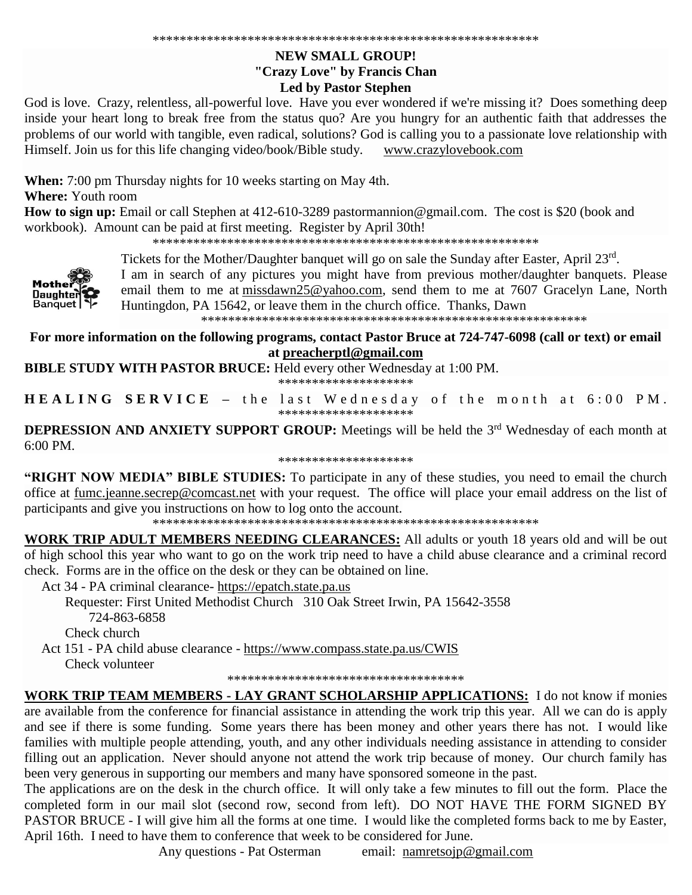## **NEW SMALL GROUP!** "Crazy Love" by Francis Chan **Led by Pastor Stephen**

God is love. Crazy, relentless, all-powerful love. Have you ever wondered if we're missing it? Does something deep inside your heart long to break free from the status quo? Are you hungry for an authentic faith that addresses the problems of our world with tangible, even radical, solutions? God is calling you to a passionate love relationship with Himself. Join us for this life changing video/book/Bible study. www.crazylovebook.com

When: 7:00 pm Thursday nights for 10 weeks starting on May 4th.

**Where:** Youth room

How to sign up: Email or call Stephen at 412-610-3289 pastormannion@gmail.com. The cost is \$20 (book and workbook). Amount can be paid at first meeting. Register by April 30th!



Tickets for the Mother/Daughter banquet will go on sale the Sunday after Easter, April 23rd.

I am in search of any pictures you might have from previous mother/daughter banquets. Please email them to me at missdawn25@yahoo.com, send them to me at 7607 Gracelyn Lane, North Huntingdon, PA 15642, or leave them in the church office. Thanks, Dawn

For more information on the following programs, contact Pastor Bruce at 724-747-6098 (call or text) or email at preacherptl@gmail.com

**BIBLE STUDY WITH PASTOR BRUCE:** Held every other Wednesday at 1:00 PM. \*\*\*\*\*\*\*\*\*\*\*\*\*\*\*\*\*\*\*\*

**HEALING SERVICE** - the last Wednesday of the month at 6:00 PM. \*\*\*\*\*\*\*\*\*\*\*\*\*\*\*\*\*\*\*\*

**DEPRESSION AND ANXIETY SUPPORT GROUP:** Meetings will be held the 3<sup>rd</sup> Wednesday of each month at  $6:00 \text{ PM}$ 

\*\*\*\*\*\*\*\*\*\*\*\*\*\*\*\*\*\*\*\*

"RIGHT NOW MEDIA" BIBLE STUDIES: To participate in any of these studies, you need to email the church office at fumc.jeanne.secrep@comcast.net with your request. The office will place your email address on the list of participants and give you instructions on how to log onto the account.

**WORK TRIP ADULT MEMBERS NEEDING CLEARANCES:** All adults or youth 18 years old and will be out of high school this year who want to go on the work trip need to have a child abuse clearance and a criminal record check. Forms are in the office on the desk or they can be obtained on line.

Act 34 - PA criminal clearance- https://epatch.state.pa.us

Requester: First United Methodist Church 310 Oak Street Irwin, PA 15642-3558 724-863-6858

Check church

Act 151 - PA child abuse clearance - https://www.compass.state.pa.us/CWIS Check volunteer

\*\*\*\*\*\*\*\*\*\*\*\*\*\*\*\*\*\*\*\*\*\*\*\*\*\*\*\*\*\*\*\*\*\*\*

**WORK TRIP TEAM MEMBERS - LAY GRANT SCHOLARSHIP APPLICATIONS:** I do not know if monies are available from the conference for financial assistance in attending the work trip this year. All we can do is apply and see if there is some funding. Some years there has been money and other years there has not. I would like families with multiple people attending, youth, and any other individuals needing assistance in attending to consider filling out an application. Never should anyone not attend the work trip because of money. Our church family has been very generous in supporting our members and many have sponsored someone in the past.

The applications are on the desk in the church office. It will only take a few minutes to fill out the form. Place the completed form in our mail slot (second row, second from left). DO NOT HAVE THE FORM SIGNED BY PASTOR BRUCE - I will give him all the forms at one time. I would like the completed forms back to me by Easter, April 16th. I need to have them to conference that week to be considered for June.

> Any questions - Pat Osterman email:  $namretsoip@gmail.com$